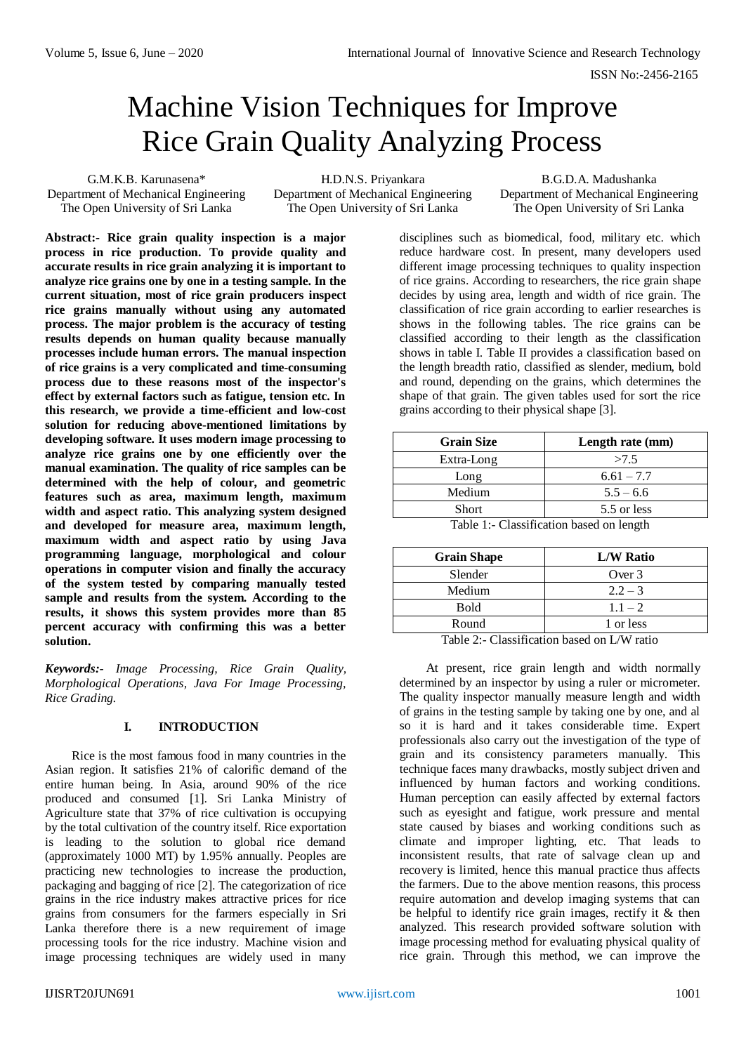# Machine Vision Techniques for Improve Rice Grain Quality Analyzing Process

G.M.K.B. Karunasena\* Department of Mechanical Engineering The Open University of Sri Lanka

H.D.N.S. Priyankara Department of Mechanical Engineering The Open University of Sri Lanka

B.G.D.A. Madushanka Department of Mechanical Engineering The Open University of Sri Lanka

**Abstract:- Rice grain quality inspection is a major process in rice production. To provide quality and accurate results in rice grain analyzing it is important to analyze rice grains one by one in a testing sample. In the current situation, most of rice grain producers inspect rice grains manually without using any automated process. The major problem is the accuracy of testing results depends on human quality because manually processes include human errors. The manual inspection of rice grains is a very complicated and time-consuming process due to these reasons most of the inspector's effect by external factors such as fatigue, tension etc. In this research, we provide a time-efficient and low-cost solution for reducing above-mentioned limitations by developing software. It uses modern image processing to analyze rice grains one by one efficiently over the manual examination. The quality of rice samples can be determined with the help of colour, and geometric features such as area, maximum length, maximum width and aspect ratio. This analyzing system designed and developed for measure area, maximum length, maximum width and aspect ratio by using Java programming language, morphological and colour operations in computer vision and finally the accuracy of the system tested by comparing manually tested sample and results from the system. According to the results, it shows this system provides more than 85 percent accuracy with confirming this was a better solution.**

*Keywords:- Image Processing, Rice Grain Quality, Morphological Operations, Java For Image Processing, Rice Grading.*

# **I. INTRODUCTION**

Rice is the most famous food in many countries in the Asian region. It satisfies 21% of calorific demand of the entire human being. In Asia, around 90% of the rice produced and consumed [1]. Sri Lanka Ministry of Agriculture state that 37% of rice cultivation is occupying by the total cultivation of the country itself. Rice exportation is leading to the solution to global rice demand (approximately 1000 MT) by 1.95% annually. Peoples are practicing new technologies to increase the production, packaging and bagging of rice [2]. The categorization of rice grains in the rice industry makes attractive prices for rice grains from consumers for the farmers especially in Sri Lanka therefore there is a new requirement of image processing tools for the rice industry. Machine vision and image processing techniques are widely used in many

disciplines such as biomedical, food, military etc. which reduce hardware cost. In present, many developers used different image processing techniques to quality inspection of rice grains. According to researchers, the rice grain shape decides by using area, length and width of rice grain. The classification of rice grain according to earlier researches is shows in the following tables. The rice grains can be classified according to their length as the classification shows in table I. Table II provides a classification based on the length breadth ratio, classified as slender, medium, bold and round, depending on the grains, which determines the shape of that grain. The given tables used for sort the rice grains according to their physical shape [3].

| <b>Grain Size</b>                        | Length rate (mm) |  |
|------------------------------------------|------------------|--|
| Extra-Long                               | >7.5             |  |
| Long                                     | $6.61 - 7.7$     |  |
| Medium                                   | $5.5 - 6.6$      |  |
| <b>Short</b>                             | 5.5 or less      |  |
| Table 1:- Classification based on length |                  |  |

| <b>Grain Shape</b> | <b>L/W Ratio</b> |
|--------------------|------------------|
| Slender            | Over 3           |
| Medium             | $2.2 - 3$        |
| <b>Bold</b>        | $1.1 - 2$        |
| Round              | 1 or less        |

Table 2:- Classification based on L/W ratio

At present, rice grain length and width normally determined by an inspector by using a ruler or micrometer. The quality inspector manually measure length and width of grains in the testing sample by taking one by one, and al so it is hard and it takes considerable time. Expert professionals also carry out the investigation of the type of grain and its consistency parameters manually. This technique faces many drawbacks, mostly subject driven and influenced by human factors and working conditions. Human perception can easily affected by external factors such as eyesight and fatigue, work pressure and mental state caused by biases and working conditions such as climate and improper lighting, etc. That leads to inconsistent results, that rate of salvage clean up and recovery is limited, hence this manual practice thus affects the farmers. Due to the above mention reasons, this process require automation and develop imaging systems that can be helpful to identify rice grain images, rectify it & then analyzed. This research provided software solution with image processing method for evaluating physical quality of rice grain. Through this method, we can improve the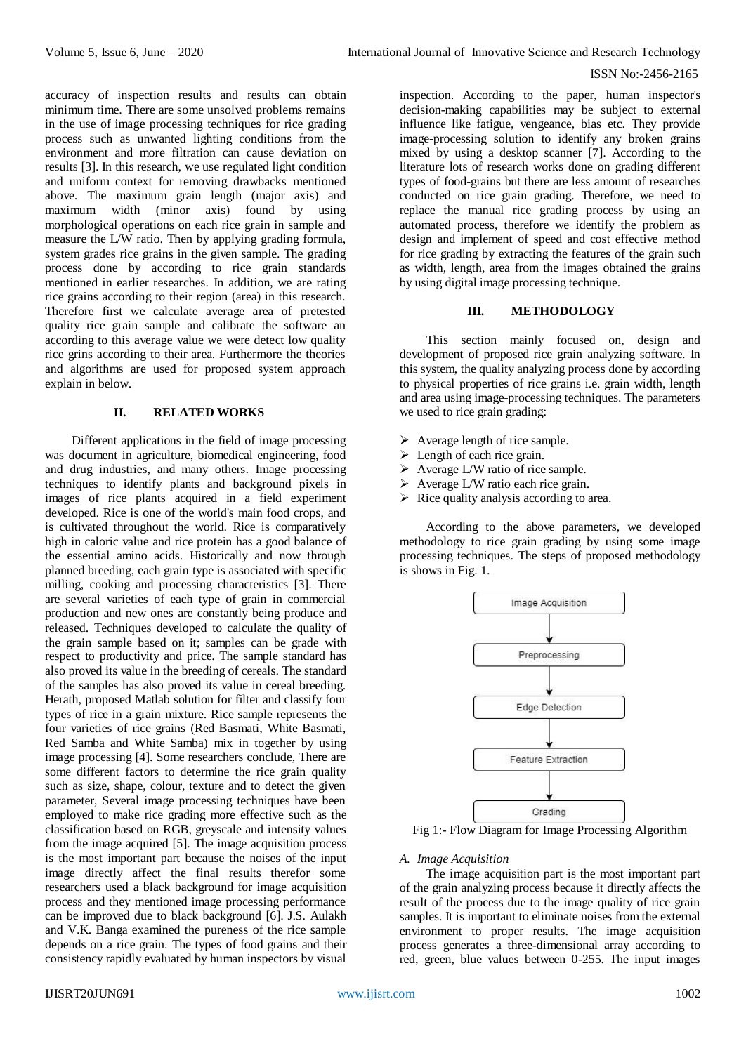#### ISSN No:-2456-2165

accuracy of inspection results and results can obtain minimum time. There are some unsolved problems remains in the use of image processing techniques for rice grading process such as unwanted lighting conditions from the environment and more filtration can cause deviation on results [3]. In this research, we use regulated light condition and uniform context for removing drawbacks mentioned above. The maximum grain length (major axis) and maximum width (minor axis) found by using morphological operations on each rice grain in sample and measure the L/W ratio. Then by applying grading formula, system grades rice grains in the given sample. The grading process done by according to rice grain standards mentioned in earlier researches. In addition, we are rating rice grains according to their region (area) in this research. Therefore first we calculate average area of pretested quality rice grain sample and calibrate the software an according to this average value we were detect low quality rice grins according to their area. Furthermore the theories and algorithms are used for proposed system approach explain in below.

# **II. RELATED WORKS**

Different applications in the field of image processing was document in agriculture, biomedical engineering, food and drug industries, and many others. Image processing techniques to identify plants and background pixels in images of rice plants acquired in a field experiment developed. Rice is one of the world's main food crops, and is cultivated throughout the world. Rice is comparatively high in caloric value and rice protein has a good balance of the essential amino acids. Historically and now through planned breeding, each grain type is associated with specific milling, cooking and processing characteristics [3]. There are several varieties of each type of grain in commercial production and new ones are constantly being produce and released. Techniques developed to calculate the quality of the grain sample based on it; samples can be grade with respect to productivity and price. The sample standard has also proved its value in the breeding of cereals. The standard of the samples has also proved its value in cereal breeding. Herath, proposed Matlab solution for filter and classify four types of rice in a grain mixture. Rice sample represents the four varieties of rice grains (Red Basmati, White Basmati, Red Samba and White Samba) mix in together by using image processing [4]. Some researchers conclude, There are some different factors to determine the rice grain quality such as size, shape, colour, texture and to detect the given parameter, Several image processing techniques have been employed to make rice grading more effective such as the classification based on RGB, greyscale and intensity values from the image acquired [5]. The image acquisition process is the most important part because the noises of the input image directly affect the final results therefor some researchers used a black background for image acquisition process and they mentioned image processing performance can be improved due to black background [6]. J.S. Aulakh and V.K. Banga examined the pureness of the rice sample depends on a rice grain. The types of food grains and their consistency rapidly evaluated by human inspectors by visual

inspection. According to the paper, human inspector's decision-making capabilities may be subject to external influence like fatigue, vengeance, bias etc. They provide image-processing solution to identify any broken grains mixed by using a desktop scanner [7]. According to the literature lots of research works done on grading different types of food-grains but there are less amount of researches conducted on rice grain grading. Therefore, we need to replace the manual rice grading process by using an automated process, therefore we identify the problem as design and implement of speed and cost effective method for rice grading by extracting the features of the grain such as width, length, area from the images obtained the grains by using digital image processing technique.

#### **III. METHODOLOGY**

This section mainly focused on, design and development of proposed rice grain analyzing software. In this system, the quality analyzing process done by according to physical properties of rice grains i.e. grain width, length and area using image-processing techniques. The parameters we used to rice grain grading:

- $\triangleright$  Average length of rice sample.
- $\triangleright$  Length of each rice grain.
- $\triangleright$  Average L/W ratio of rice sample.
- $\triangleright$  Average L/W ratio each rice grain.
- $\triangleright$  Rice quality analysis according to area.

According to the above parameters, we developed methodology to rice grain grading by using some image processing techniques. The steps of proposed methodology is shows in Fig. 1.



Fig 1:- Flow Diagram for Image Processing Algorithm

# *A. Image Acquisition*

The image acquisition part is the most important part of the grain analyzing process because it directly affects the result of the process due to the image quality of rice grain samples. It is important to eliminate noises from the external environment to proper results. The image acquisition process generates a three-dimensional array according to red, green, blue values between 0-255. The input images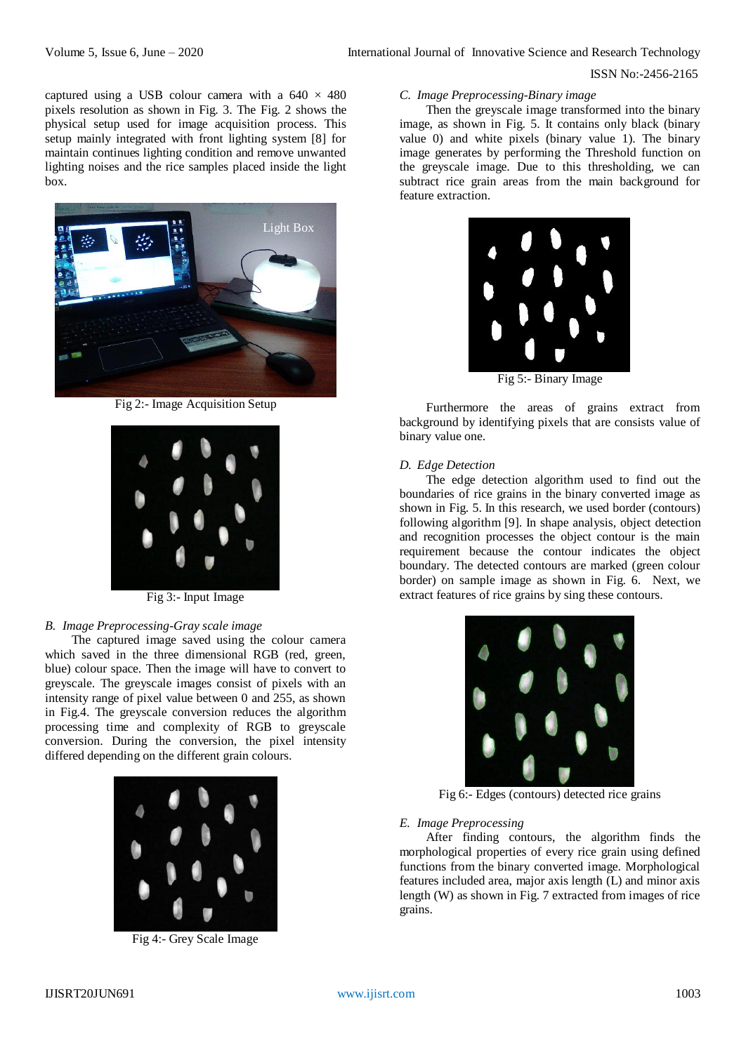#### ISSN No:-2456-2165

captured using a USB colour camera with a  $640 \times 480$ pixels resolution as shown in Fig. 3. The Fig. 2 shows the physical setup used for image acquisition process. This setup mainly integrated with front lighting system [8] for maintain continues lighting condition and remove unwanted lighting noises and the rice samples placed inside the light box.



Fig 2:- Image Acquisition Setup



Fig 3:- Input Image

# *B. Image Preprocessing-Gray scale image*

The captured image saved using the colour camera which saved in the three dimensional RGB (red, green, blue) colour space. Then the image will have to convert to greyscale. The greyscale images consist of pixels with an intensity range of pixel value between 0 and 255, as shown in Fig.4. The greyscale conversion reduces the algorithm processing time and complexity of RGB to greyscale conversion. During the conversion, the pixel intensity differed depending on the different grain colours.



Fig 4:- Grey Scale Image

# *C. Image Preprocessing-Binary image*

Then the greyscale image transformed into the binary image, as shown in Fig. 5. It contains only black (binary value 0) and white pixels (binary value 1). The binary image generates by performing the Threshold function on the greyscale image. Due to this thresholding, we can subtract rice grain areas from the main background for feature extraction.



Fig 5:- Binary Image

Furthermore the areas of grains extract from background by identifying pixels that are consists value of binary value one.

#### *D. Edge Detection*

The edge detection algorithm used to find out the boundaries of rice grains in the binary converted image as shown in Fig. 5. In this research, we used border (contours) following algorithm [9]. In shape analysis, object detection and recognition processes the object contour is the main requirement because the contour indicates the object boundary. The detected contours are marked (green colour border) on sample image as shown in Fig. 6. Next, we extract features of rice grains by sing these contours.



Fig 6:- Edges (contours) detected rice grains

#### *E. Image Preprocessing*

After finding contours, the algorithm finds the morphological properties of every rice grain using defined functions from the binary converted image. Morphological features included area, major axis length (L) and minor axis length (W) as shown in Fig. 7 extracted from images of rice grains.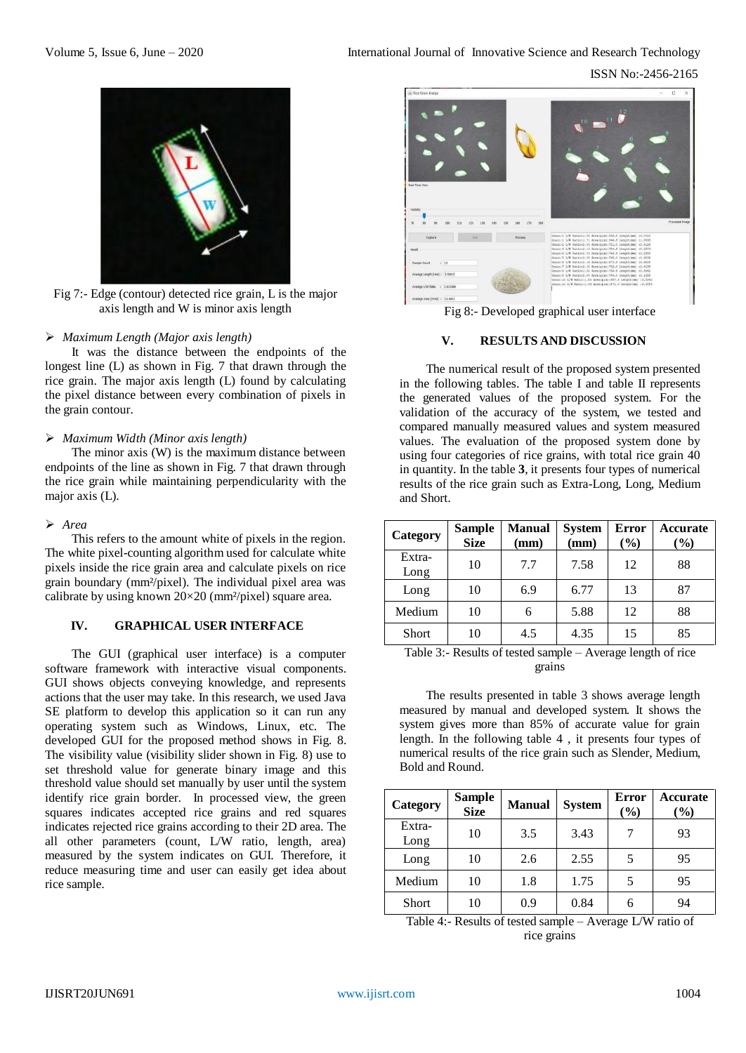ISSN No:-2456-2165



Fig 7:- Edge (contour) detected rice grain, L is the major axis length and W is minor axis length

# *Maximum Length (Major axis length)*

It was the distance between the endpoints of the longest line (L) as shown in Fig. 7 that drawn through the rice grain. The major axis length (L) found by calculating the pixel distance between every combination of pixels in the grain contour.

# *Maximum Width (Minor axis length)*

The minor axis (W) is the maximum distance between endpoints of the line as shown in Fig. 7 that drawn through the rice grain while maintaining perpendicularity with the major axis (L).

#### *Area*

This refers to the amount white of pixels in the region. The white pixel-counting algorithm used for calculate white pixels inside the rice grain area and calculate pixels on rice grain boundary (mm²/pixel). The individual pixel area was calibrate by using known  $20\times20$  (mm<sup>2</sup>/pixel) square area.

# **IV. GRAPHICAL USER INTERFACE**

The GUI (graphical user interface) is a computer software framework with interactive visual components. GUI shows objects conveying knowledge, and represents actions that the user may take. In this research, we used Java SE platform to develop this application so it can run any operating system such as Windows, Linux, etc. The developed GUI for the proposed method shows in Fig. 8. The visibility value (visibility slider shown in Fig. 8) use to set threshold value for generate binary image and this threshold value should set manually by user until the system identify rice grain border. In processed view, the green squares indicates accepted rice grains and red squares indicates rejected rice grains according to their 2D area. The all other parameters (count, L/W ratio, length, area) measured by the system indicates on GUI. Therefore, it reduce measuring time and user can easily get idea about rice sample.



Fig 8:- Developed graphical user interface

# **V. RESULTS AND DISCUSSION**

The numerical result of the proposed system presented in the following tables. The table I and table II represents the generated values of the proposed system. For the validation of the accuracy of the system, we tested and compared manually measured values and system measured values. The evaluation of the proposed system done by using four categories of rice grains, with total rice grain 40 in quantity. In the table **3**, it presents four types of numerical results of the rice grain such as Extra-Long, Long, Medium and Short.

| Category       | <b>Sample</b><br><b>Size</b> | <b>Manual</b><br>(mm) | <b>System</b><br>(mm) | <b>Error</b><br>$(\%)$ | Accurate<br>$($ %) |
|----------------|------------------------------|-----------------------|-----------------------|------------------------|--------------------|
| Extra-<br>Long | 10                           | 7.7                   | 7.58                  | 12                     | 88                 |
| Long           | 10                           | 6.9                   | 6.77                  | 13                     | 87                 |
| Medium         | 10                           | 6                     | 5.88                  | 12                     | 88                 |
| Short          | 10                           | 4.5                   | 4.35                  | 15                     | 85                 |

Table 3:- Results of tested sample – Average length of rice grains

The results presented in table 3 shows average length measured by manual and developed system. It shows the system gives more than 85% of accurate value for grain length. In the following table 4 , it presents four types of numerical results of the rice grain such as Slender, Medium, Bold and Round.

| Category       | <b>Sample</b><br><b>Size</b> | <b>Manual</b> | <b>System</b> | Error<br>$(\%)$ | <b>Accurate</b><br>$\left( \frac{9}{0} \right)$ |
|----------------|------------------------------|---------------|---------------|-----------------|-------------------------------------------------|
| Extra-<br>Long | 10                           | 3.5           | 3.43          |                 | 93                                              |
| Long           | 10                           | 2.6           | 2.55          |                 | 95                                              |
| Medium         | 10                           | 1.8           | 1.75          |                 | 95                                              |
| Short          | 10                           | 0.9           | 0.84          |                 | 94                                              |

Table 4:- Results of tested sample – Average L/W ratio of rice grains